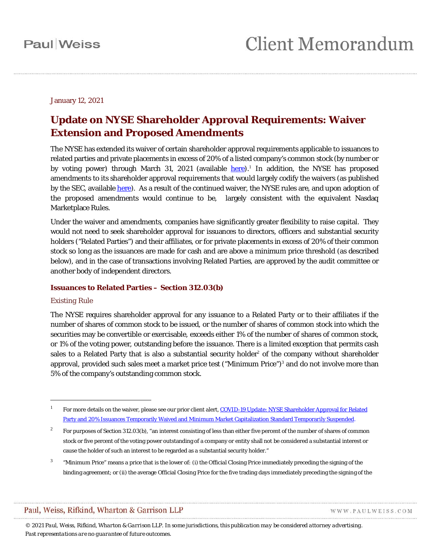January 12, 2021

### **Update on NYSE Shareholder Approval Requirements: Waiver Extension and Proposed Amendments**

The NYSE has extended its waiver of certain shareholder approval requirements applicable to issuances to related parties and private placements in excess of 20% of a listed company's common stock (by number or by voting power) through March 3[1](#page-0-0), 2021 (available  $here$ ).<sup>1</sup> In addition, the NYSE has proposed</u> amendments to its shareholder approval requirements that would largely codify the waivers (as published by the SEC, available [here\)](https://www.sec.gov/rules/sro/nyse/2020/34-90803.pdf). As a result of the continued waiver, the NYSE rules are, and upon adoption of the proposed amendments would continue to be, largely consistent with the equivalent Nasdaq Marketplace Rules.

Under the waiver and amendments, companies have significantly greater flexibility to raise capital. They would not need to seek shareholder approval for issuances to directors, officers and substantial security holders ("Related Parties") and their affiliates, or for private placements in excess of 20% of their common stock so long as the issuances are made for cash and are above a minimum price threshold (as described below), and in the case of transactions involving Related Parties, are approved by the audit committee or another body of independent directors.

### **Issuances to Related Parties – Section 312.03(b)**

### *Existing Rule*

 $\overline{a}$ 

The NYSE requires shareholder approval for any issuance to a Related Party or to their affiliates if the number of shares of common stock to be issued, or the number of shares of common stock into which the securities may be convertible or exercisable, exceeds either 1% of the number of shares of common stock, or 1% of the voting power, outstanding before the issuance. There is a limited exception that permits cash sales to a Related Party that is also a substantial security holder<sup>[2](#page-0-1)</sup> of the company without shareholder approval, provided such sales meet a market price test ("Minimum Price")<sup>[3](#page-0-2)</sup> and do not involve more than 5% of the company's outstanding common stock.

WWW.PAULWEISS.COM

<span id="page-0-0"></span><sup>&</sup>lt;sup>1</sup> For more details on the waiver, please see our prior client alert, COVID-19 Update: NYSE Shareholder Approval for Related [Party and 20% Issuances Temporarily Waived and Minimum Market Capitalization Standard Temporarily Suspended.](https://www.paulweiss.com/media/3980008/20apr20-nyse-update.pdf)

<span id="page-0-1"></span><sup>&</sup>lt;sup>2</sup> For purposes of Section 312.03(b), "an interest consisting of less than either five percent of the number of shares of common stock or five percent of the voting power outstanding of a company or entity shall not be considered a substantial interest or cause the holder of such an interest to be regarded as a substantial security holder."

<span id="page-0-2"></span><sup>&</sup>lt;sup>3</sup> "Minimum Price" means a price that is the lower of: (i) the Official Closing Price immediately preceding the signing of the binding agreement; or (ii) the average Official Closing Price for the five trading days immediately preceding the signing of the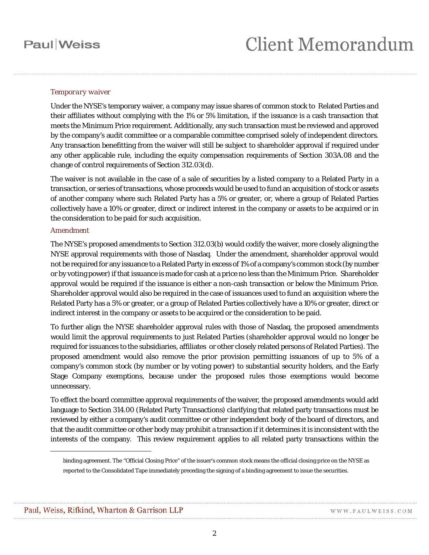## **Paul** Weiss

### *Temporary waiver*

Under the NYSE's temporary waiver, a company may issue shares of common stock to Related Parties and their affiliates without complying with the 1% or 5% limitation, if the issuance is a cash transaction that meets the Minimum Price requirement. Additionally, any such transaction must be reviewed and approved by the company's audit committee or a comparable committee comprised solely of independent directors. Any transaction benefitting from the waiver will still be subject to shareholder approval if required under any other applicable rule, including the equity compensation requirements of Section 303A.08 and the change of control requirements of Section 312.03(d).

The waiver is not available in the case of a sale of securities by a listed company to a Related Party in a transaction, or series of transactions, whose proceeds would be used to fund an acquisition of stock or assets of another company where such Related Party has a 5% or greater, or, where a group of Related Parties collectively have a 10% or greater, direct or indirect interest in the company or assets to be acquired or in the consideration to be paid for such acquisition.

#### *Amendment*

The NYSE's proposed amendments to Section 312.03(b) would codify the waiver, more closely aligning the NYSE approval requirements with those of Nasdaq. Under the amendment, shareholder approval would not be required for any issuance to a Related Party in excess of 1% of a company's common stock (by number or by voting power) if that issuance is made for cash at a price no less than the Minimum Price. Shareholder approval would be required if the issuance is either a non-cash transaction or below the Minimum Price. Shareholder approval would also be required in the case of issuances used to fund an acquisition where the Related Party has a 5% or greater, or a group of Related Parties collectively have a 10% or greater, direct or indirect interest in the company or assets to be acquired or the consideration to be paid.

To further align the NYSE shareholder approval rules with those of Nasdaq, the proposed amendments would limit the approval requirements to just Related Parties (shareholder approval would no longer be required for issuances to the subsidiaries, affiliates or other closely related persons of Related Parties). The proposed amendment would also remove the prior provision permitting issuances of up to 5% of a company's common stock (by number or by voting power) to substantial security holders, and the Early Stage Company exemptions, because under the proposed rules those exemptions would become unnecessary.

To effect the board committee approval requirements of the waiver, the proposed amendments would add language to Section 314.00 (Related Party Transactions) clarifying that related party transactions must be reviewed by either a company's audit committee or other independent body of the board of directors, and that the audit committee or other body may prohibit a transaction if it determines it is inconsistent with the interests of the company. This review requirement applies to all related party transactions within the

 $\overline{a}$ 

binding agreement. The "Official Closing Price" of the issuer's common stock means the official closing price on the NYSE as reported to the Consolidated Tape immediately preceding the signing of a binding agreement to issue the securities.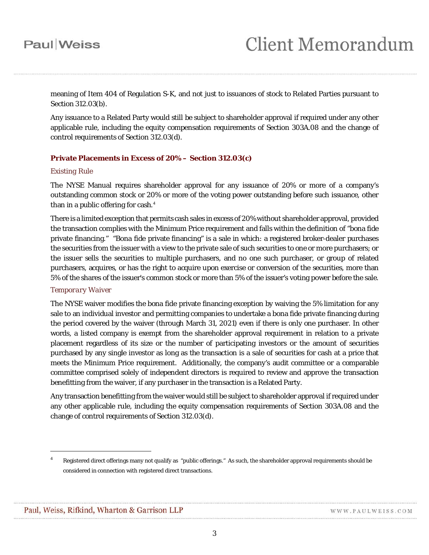# **Paul** Weiss

meaning of Item 404 of Regulation S-K, and not just to issuances of stock to Related Parties pursuant to Section 312.03(b).

Any issuance to a Related Party would still be subject to shareholder approval if required under any other applicable rule, including the equity compensation requirements of Section 303A.08 and the change of control requirements of Section 312.03(d).

### **Private Placements in Excess of 20% – Section 312.03(c)**

### *Existing Rule*

The NYSE Manual requires shareholder approval for any issuance of 20% or more of a company's outstanding common stock or 20% or more of the voting power outstanding before such issuance, other than in a public offering for cash. $4$ 

There is a limited exception that permits cash sales in excess of 20% without shareholder approval, provided the transaction complies with the Minimum Price requirement and falls within the definition of "bona fide private financing." "Bona fide private financing" is a sale in which: a registered broker-dealer purchases the securities from the issuer with a view to the private sale of such securities to one or more purchasers; or the issuer sells the securities to multiple purchasers, and no one such purchaser, or group of related purchasers, acquires, or has the right to acquire upon exercise or conversion of the securities, more than 5% of the shares of the issuer's common stock or more than 5% of the issuer's voting power before the sale.

### *Temporary Waiver*

The NYSE waiver modifies the bona fide private financing exception by waiving the 5% limitation for any sale to an individual investor and permitting companies to undertake a bona fide private financing during the period covered by the waiver (through March 31, 2021) even if there is only one purchaser. In other words, a listed company is exempt from the shareholder approval requirement in relation to a private placement regardless of its size or the number of participating investors or the amount of securities purchased by any single investor as long as the transaction is a sale of securities for cash at a price that meets the Minimum Price requirement. Additionally, the company's audit committee or a comparable committee comprised solely of independent directors is required to review and approve the transaction benefitting from the waiver, if any purchaser in the transaction is a Related Party.

Any transaction benefitting from the waiver would still be subject to shareholder approval if required under any other applicable rule, including the equity compensation requirements of Section 303A.08 and the change of control requirements of Section 312.03(d).

 $\overline{a}$ 

<span id="page-2-0"></span><sup>4</sup> Registered direct offerings many not qualify as "public offerings." As such, the shareholder approval requirements should be considered in connection with registered direct transactions.